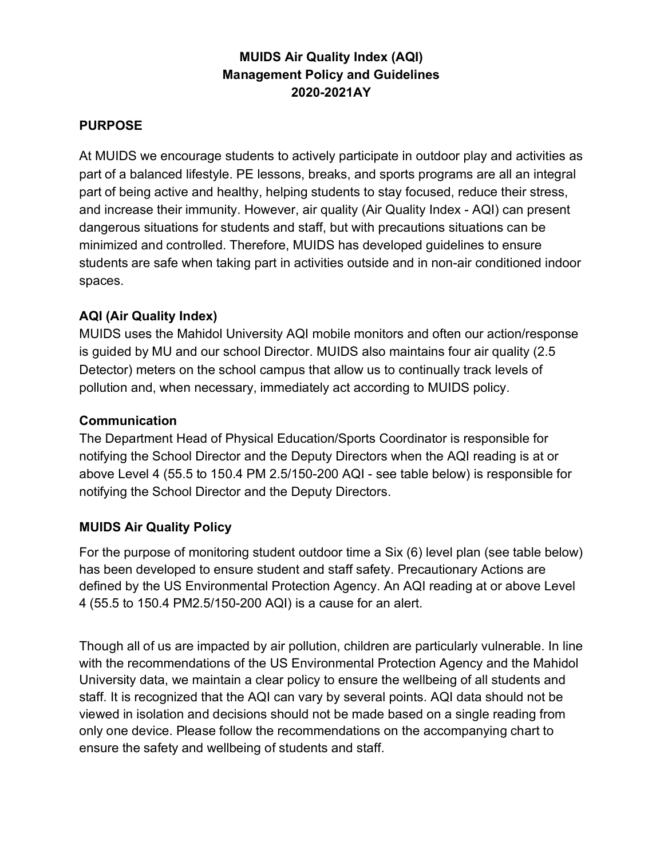## MUIDS Air Quality Index (AQI) Management Policy and Guidelines 2020-2021AY

#### PURPOSE

At MUIDS we encourage students to actively participate in outdoor play and activities as part of a balanced lifestyle. PE lessons, breaks, and sports programs are all an integral part of being active and healthy, helping students to stay focused, reduce their stress, and increase their immunity. However, air quality (Air Quality Index - AQI) can present dangerous situations for students and staff, but with precautions situations can be minimized and controlled. Therefore, MUIDS has developed guidelines to ensure students are safe when taking part in activities outside and in non-air conditioned indoor spaces.

## AQI (Air Quality Index)

MUIDS uses the Mahidol University AQI mobile monitors and often our action/response is guided by MU and our school Director. MUIDS also maintains four air quality (2.5 Detector) meters on the school campus that allow us to continually track levels of pollution and, when necessary, immediately act according to MUIDS policy.

### Communication

The Department Head of Physical Education/Sports Coordinator is responsible for notifying the School Director and the Deputy Directors when the AQI reading is at or above Level 4 (55.5 to 150.4 PM 2.5/150-200 AQI - see table below) is responsible for notifying the School Director and the Deputy Directors.

#### MUIDS Air Quality Policy

For the purpose of monitoring student outdoor time a Six (6) level plan (see table below) has been developed to ensure student and staff safety. Precautionary Actions are defined by the US Environmental Protection Agency. An AQI reading at or above Level 4 (55.5 to 150.4 PM2.5/150-200 AQI) is a cause for an alert.

Though all of us are impacted by air pollution, children are particularly vulnerable. In line with the recommendations of the US Environmental Protection Agency and the Mahidol University data, we maintain a clear policy to ensure the wellbeing of all students and staff. It is recognized that the AQI can vary by several points. AQI data should not be viewed in isolation and decisions should not be made based on a single reading from only one device. Please follow the recommendations on the accompanying chart to ensure the safety and wellbeing of students and staff.